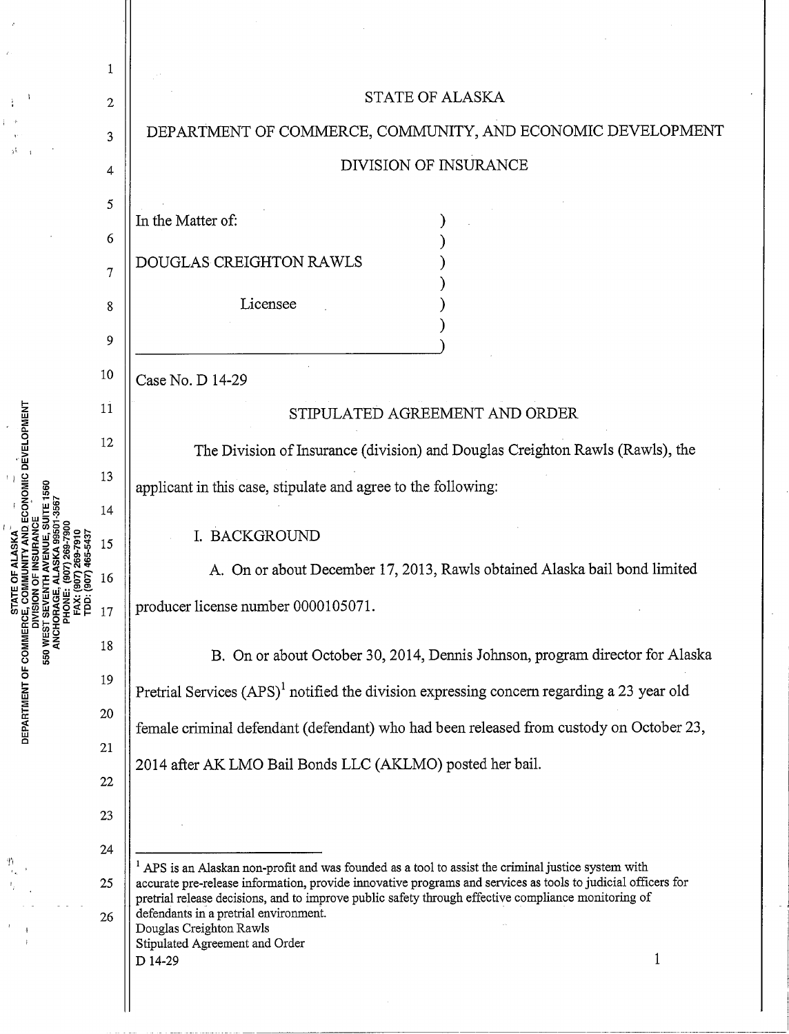|                                                    | 1            |                                                                                                                                                                                                                                                                                                                                                                                |
|----------------------------------------------------|--------------|--------------------------------------------------------------------------------------------------------------------------------------------------------------------------------------------------------------------------------------------------------------------------------------------------------------------------------------------------------------------------------|
| <b>FAX: (907) 269-7910<br/>TDD: (907) 465-5437</b> | $\mathbf{2}$ | STATE OF ALASKA                                                                                                                                                                                                                                                                                                                                                                |
|                                                    | 3            | DEPARTMENT OF COMMERCE, COMMUNITY, AND ECONOMIC DEVELOPMENT                                                                                                                                                                                                                                                                                                                    |
|                                                    | 4            | DIVISION OF INSURANCE                                                                                                                                                                                                                                                                                                                                                          |
|                                                    | 5            |                                                                                                                                                                                                                                                                                                                                                                                |
|                                                    | 6            | In the Matter of:                                                                                                                                                                                                                                                                                                                                                              |
|                                                    | 7            | DOUGLAS CREIGHTON RAWLS                                                                                                                                                                                                                                                                                                                                                        |
|                                                    | 8            | Licensee                                                                                                                                                                                                                                                                                                                                                                       |
|                                                    | 9            |                                                                                                                                                                                                                                                                                                                                                                                |
|                                                    | 10           | Case No. D 14-29                                                                                                                                                                                                                                                                                                                                                               |
|                                                    | 11           | STIPULATED AGREEMENT AND ORDER                                                                                                                                                                                                                                                                                                                                                 |
|                                                    | 12           | The Division of Insurance (division) and Douglas Creighton Rawls (Rawls), the                                                                                                                                                                                                                                                                                                  |
|                                                    | 13           | applicant in this case, stipulate and agree to the following:                                                                                                                                                                                                                                                                                                                  |
|                                                    | 14           |                                                                                                                                                                                                                                                                                                                                                                                |
|                                                    | 15           | I. BACKGROUND                                                                                                                                                                                                                                                                                                                                                                  |
|                                                    | 16           | A. On or about December 17, 2013, Rawls obtained Alaska bail bond limited                                                                                                                                                                                                                                                                                                      |
|                                                    | 17           | producer license number 0000105071.                                                                                                                                                                                                                                                                                                                                            |
|                                                    | 18           | B. On or about October 30, 2014, Dennis Johnson, program director for Alaska                                                                                                                                                                                                                                                                                                   |
|                                                    | 19           | Pretrial Services $(APS)^1$ notified the division expressing concern regarding a 23 year old                                                                                                                                                                                                                                                                                   |
|                                                    | 20           | female criminal defendant (defendant) who had been released from custody on October 23,<br>2014 after AK LMO Bail Bonds LLC (AKLMO) posted her bail.                                                                                                                                                                                                                           |
|                                                    | 21           |                                                                                                                                                                                                                                                                                                                                                                                |
|                                                    | 22<br>23     |                                                                                                                                                                                                                                                                                                                                                                                |
|                                                    | 24           |                                                                                                                                                                                                                                                                                                                                                                                |
|                                                    | 25           | <sup>1</sup> APS is an Alaskan non-profit and was founded as a tool to assist the criminal justice system with<br>accurate pre-release information, provide innovative programs and services as tools to judicial officers for<br>pretrial release decisions, and to improve public safety through effective compliance monitoring of<br>defendants in a pretrial environment. |
|                                                    | 26           |                                                                                                                                                                                                                                                                                                                                                                                |
|                                                    |              | Douglas Creighton Rawls<br>Stipulated Agreement and Order                                                                                                                                                                                                                                                                                                                      |
|                                                    |              | D 14-29<br>1                                                                                                                                                                                                                                                                                                                                                                   |
|                                                    |              |                                                                                                                                                                                                                                                                                                                                                                                |

 $\frac{1}{2}$ 

l,

 $\ddot{\phantom{0}}$ 

 $\frac{1}{2}$ MEN<br>! ic: <u>።</u><br>ደ

 $\boldsymbol{\cdot}$ 

ý,

 $\begin{array}{c} \left( \begin{array}{cc} 1 & 1 \\ 1 & 0 \end{array} \right) & \mbox{if} & \quad \left( \begin{array}{cc} 1 & 1 \\ 1 & 0 \end{array} \right) \\ \left( \begin{array}{cc} 1 & 0 \\ 0 & 0 \end{array} \right) & \mbox{if} & \quad \left( \begin{array}{cc} 1 & 1 \\ 1 & 0 \end{array} \right) & \mbox{if} & \quad \left( \begin{array}{cc} 1 & 1 \\ 1 & 0 \end{array} \right) & \mbox{if} & \quad \left( \begin{array}{cc} 1 & 1 \\ 1 & 0 \end{array} \$ 

 $\hat{\mathcal{A}}$ 

 $\overline{\phantom{a}}$ 

 $\begin{aligned} \mathfrak{Y}_{i_{0}}(i) \\ \mathfrak{Y}_{i_{0}}(i) \\ \mathfrak{Y}_{i_{0}}(i) \\ \mathfrak{Y}_{i_{0}}(i) \\ \mathfrak{Y}_{i_{0}}(i) \\ \mathfrak{Y}_{i_{0}}(i) \\ \mathfrak{Y}_{i_{0}}(i) \\ \mathfrak{Y}_{i_{0}}(i) \\ \mathfrak{Y}_{i_{0}}(i) \\ \mathfrak{Y}_{i_{0}}(i) \\ \mathfrak{Y}_{i_{0}}(i) \\ \mathfrak{Y}_{i_{0}}(i) \\ \mathfrak{Y}_{i_{0}}(i) \\ \mathfrak{Y}_{i_{0}}(i) \\ \mathfrak{$ 

 $\sim$   $\sim$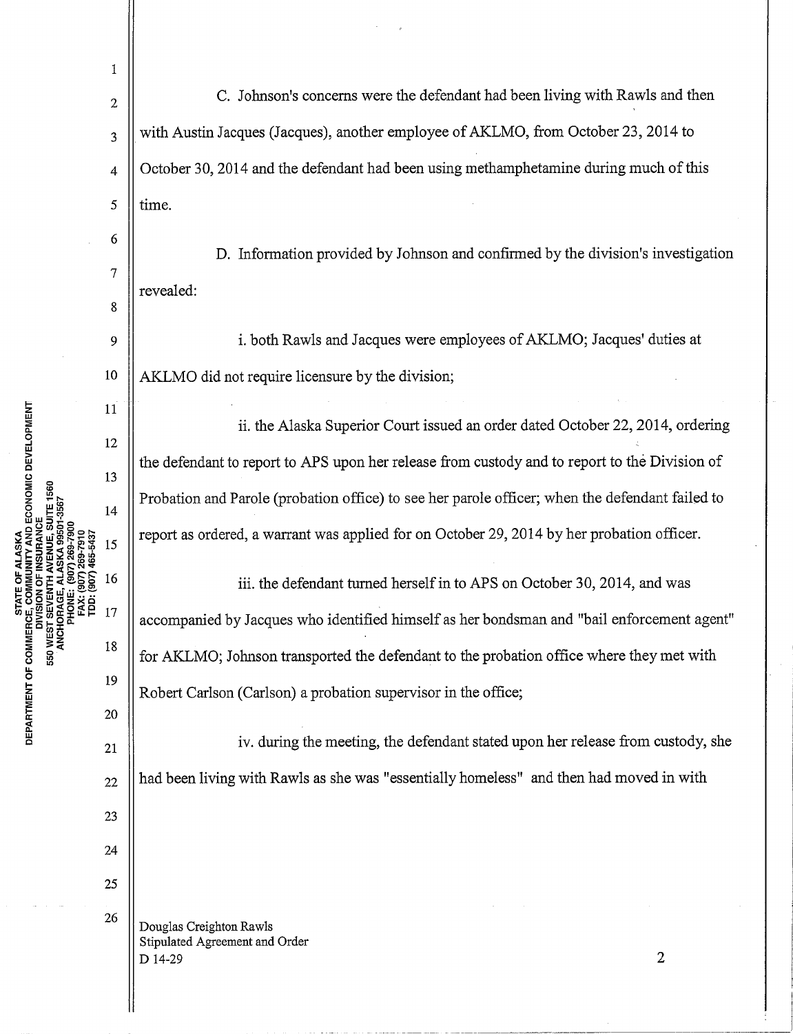1  $\mathcal{L}_2$  | C. Johnson's concerns were the defendant had been living with Rawls and then  $\frac{3}{3}$  | with Austin Jacques (Jacques), another employee of AKLMO, from October 23, 2014 to  $\vert 4 \vert$  October 30, 2014 and the defendant had been using methamphetamine during much of this  $5 \parallel$  time. 6 D. Information provided by Johnson and confirmed by the division's investigation 7 revealed: 8 9 i. both Rawls and Jacques were employees of AKLMO; Jacques' duties at 10 | AKLMO did not require licensure by the division; 11 ii. the Alaska Superior Court issued an order dated October 22, 2014, ordering 12 the defendant to report to APS upon her release from custody and to report to the Division of 13 Probation and Parole (probation office) to see her parole officer; when the defendant failed to  $14$ report as ordered, a warrant was applied for on October 29, 2014 by her probation officer. (907) 465-5437 15 16 iii. the defendant turned herself in to APS on October 30, 2014, and was 17 accompanied by Jacques who identified himself as her bondsman and "bail enforcement agent" 18 for AKLMO; Johnson transported the defendant to the probation office where they met with 19 Robert Carlson (Carlson) a probation supervisor in the office; 20  $\begin{array}{c|c|c|c|c} & & & \text{iv. during the meeting, the defendant stated upon her release from custody, she} \end{array}$  $_{22}$  || had been living with Rawls as she was "essentially homeless" and then had moved in with 23 24 25 26 | Douglas Creighton Rawls Stipulated Agreement and Order  $D$  14-29 2

STATE OF ALASKA<br>E, COMMUNITY AND ECONOMIC DEVELOPMENT<br>I'SION OF INSURANCE<br>I'SION OF INSURANCE 550 u.. 0 **RTMEN** <sup>~</sup>w c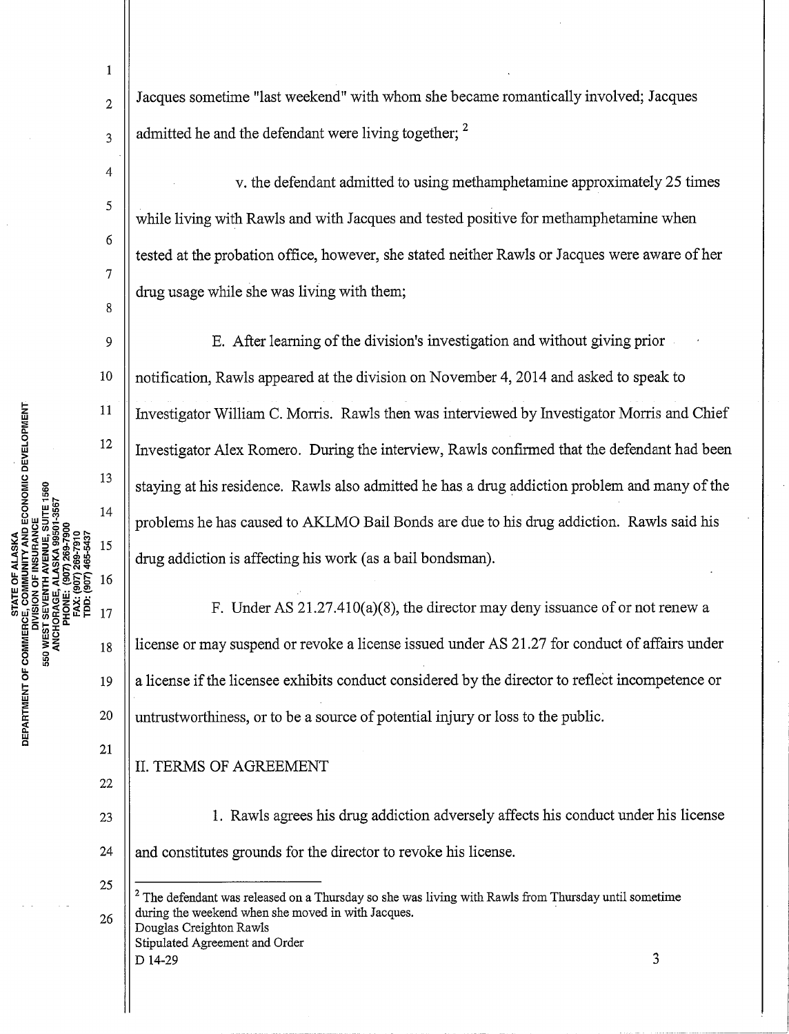1

4

5

6

7

8

11

12

13

14

15

16

 $17$ 

18

(907) 465-5437

269-791

FAX: (907)<br>TDD: (907)

 $\frac{2}{2}$  Jacques sometime "last weekend" with whom she became romantically involved; Jacques  $\frac{3}{3}$  admitted he and the defendant were living together; <sup>2</sup>

v. the defendant admitted to using methamphetamine approximately 25 times while living with Rawls and with Jacques and tested positive for methamphetamine when tested at the probation office, however, she stated neither Rawls or Jacques were aware of her drug usage while she was living with them;

9 E. After learning of the division's investigation and without giving prior 10 notification, Rawls appeared at the division on November 4, 2014 and asked to speak to Investigator "William C. Morris. Rawls then was interviewed by Investigator Morris and Chief Investigator Alex Romero. During the interview, Rawls confirmed that the defendant had been staying at his residence. Rawls also admitted he has a drug addiction problem and many of the problems he has caused to AKLMO Bail Bonds are due to his drug addiction. Rawls said his drug addiction is affecting his work (as a bail bondsman).

F. Under AS 21.27.410(a)(8), the director may deny issuance of or not renew a license or may suspend or revoke a license issued under AS 21.27 for conduct of affairs under 19  $\parallel$  a license if the licensee exhibits conduct considered by the director to reflect incompetence or  $20$  || untrustworthiness, or to be a source of potential injury or loss to the public.

II. TERMS OF AGREEMENT

22

21

 $\frac{1}{2}$ 

STATE OF ALASKA

**RTMEN** 

~ w c

23 24

1. Rawls agrees his drug addiction adversely affects his conduct under his license and constitutes grounds for the director to revoke his license.

25 26  $2$  The defendant was released on a Thursday so she was living with Rawls from Thursday until sometime during the weekend when she moved in with Jacques. Douglas Creighton Rawls

Stipulated Agreement and Order  $D$  14-29  $3$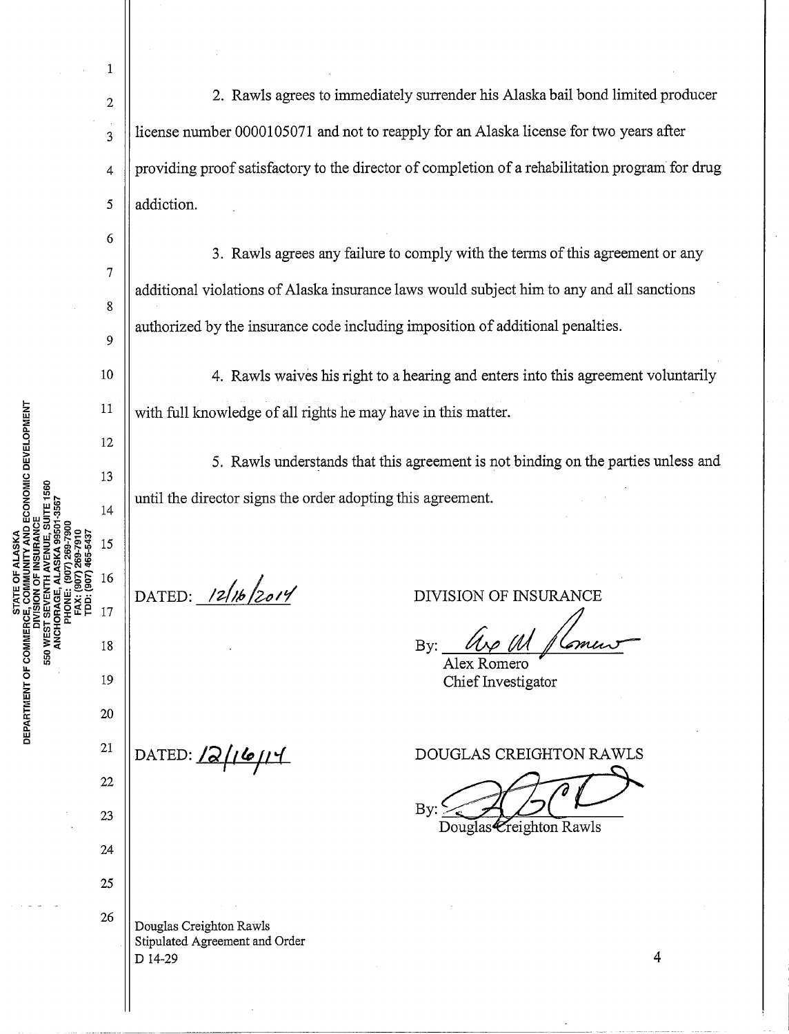1

2

3

4

5

6

7

8

9

10

11

12

13

14

15

16

17

19

18

20

21

22

23

24

25

26

RTMENT OF

550 WEST

ECONOMIC DEVELOPMENT

<sup>~</sup><sup>w</sup> Q

2. Rawls agrees to immediately surrender his Alaska bail bond limited producer license number 0000105071 and not to reapply for an Alaska license for two years after providing proof satisfactory to the director of completion of a rehabilitation program for drug addiction.

3. Rawls agrees any failure to comply with the terms of this agreement or any additional violations of Alaska insurance laws would subject him to any and all sanctions authorized by the insurance code including imposition of additional penalties.

4. Rawls waives his right to a hearing and enters into this agreement voluntarily with full knowledge of all rights he may have in this matter.

5. Rawls understands that this agreement is not binding on the parties unless and until the director signs the order adopting this agreement.

DATED:  $12/16/2014$ 

DIVISION OF INSURANCE

By:  $\mu\ell\llap{\ell\llap{\ell} \mathit{a}}$ Alex Romero

Chief Investigator

DATED:  $\sqrt{2/6}$  $\mapsto$ 

DOUGLAS CREIGHTON RAWLS

 $\mathbf{B}$ Chief Investigator<br>UGLAS CREIGHTON RAWLS<br>Douglas Creighton Rawls

Douglas Creighton Rawls Stipulated Agreement and Order D 14-29

4